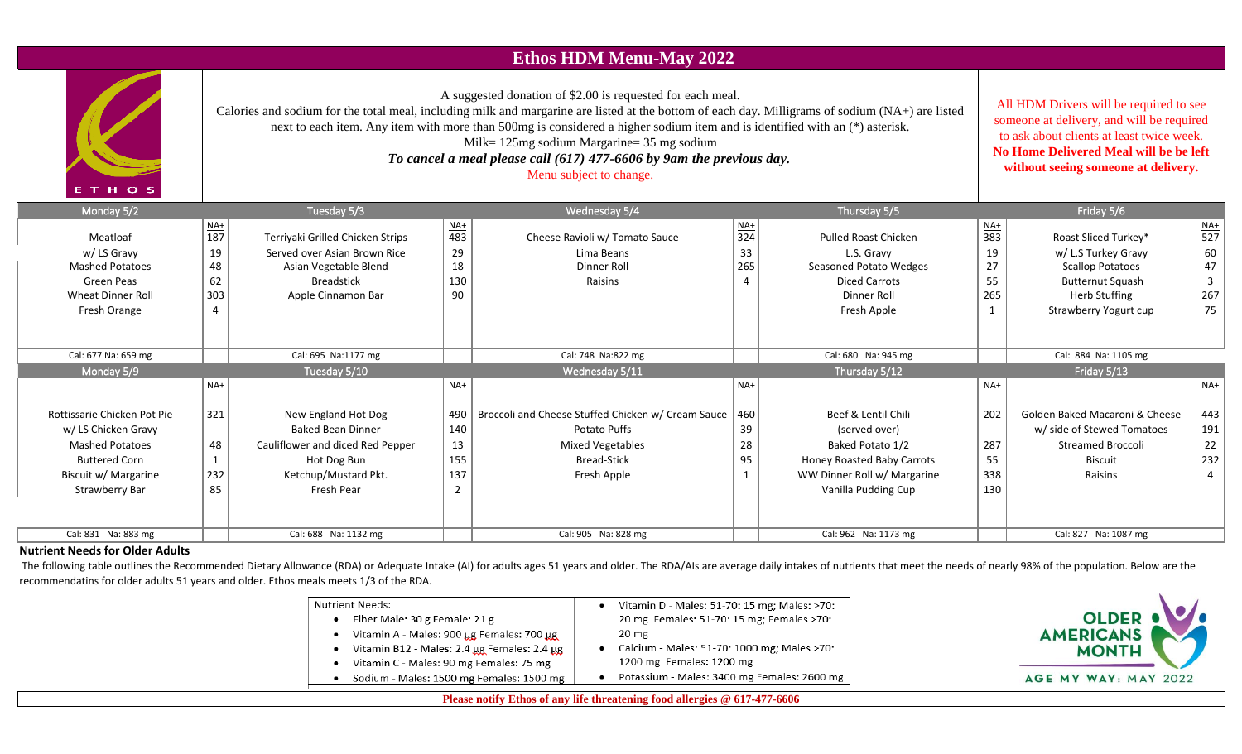## **Ethos HDM Menu-May 2022**

A suggested donation of \$2.00 is requested for each meal.

Calories and sodium for the total meal, including milk and margarine are listed at the bottom of each day. Milligrams of sodium (NA+) are listed next to each item. Any item with more than 500mg is considered a higher sodium item and is identified with an (\*) asterisk.

Milk= 125mg sodium Margarine= 35 mg sodium

*To cancel a meal please call (617) 477-6606 by 9am the previous day.* 

Menu subject to change.

Monday 5/2 Tuesday 5/3 Wednesday 5/4 Thursday 5/5 Friday 5/6

Meatloaf 187 Terriyaki Grilled Chicken Strips 483 Cheese Ravioli w/ Tomato Sauce 324 Pulled Roast Chicken 383 Roast Sliced Turkey\* 527 w/ LS Gravy Served over Asian Brown Rice 29 | Lima Beans 33 | L.S. Gravy 60

Mashed Potatoes | 48 | Asian Vegetable Blend | 18 | Nimer Roll 265 | Seasoned Potato Wedges | 27 | Scallop Potatoes | 47 Green Peas 62 Breadstick 130 Raisins 4 Diced Carrots 55 Butternut Squash 3 Wheat Dinner Roll 303 Apple Cinnamon Bar 90 Dinner Roll 265 Herb Stuffing 267 Fresh Orange 4 Fresh Apple 1 Strawberry Yogurt cup 75 Cal: 677 Na: 659 mg | | Cal: 695 Na:1177 mg | | Cal: 748 Na:822 mg | | Cal: 748 Na:822 mg | Cal: 680 Na: 945 mg | | Cal: 884 Na: 1105 mg Monday 5/9 Tuesday 5/10 Wednesday 5/11 Thursday 5/12 Friday 5/13 NA+ | NA+ | NA+ | NA+ | NA+ | NA+ | NA+ | NA+ | NA+ | NA+ | NA+ | NA+ | NA+ | NA+ | NA+ | NA+ | NA+ | NA+ | NA Rottissarie Chicken Pot Pie | 321 New England Hot Dog | 490 | Broccoli and Cheese Stuffed Chicken w/ Cream Sauce | 460 Beef & Lentil Chili | 202 | Golden Baked Macaroni & Cheese | 443 w/ LS Chicken Gravy Binder Stewed Tomatoes (1919 Potato Puffs Network Stewed over) w/ side of Stewed Tomatoes (191 Mashed Potatoes 48 Cauliflower and diced Red Pepper 13 Mixed Vegetables 28 Baked Potato 1/2 287 Streamed Broccoli 22 Buttered Corn  $\begin{array}{|c|c|c|c|c|c|}\hline \end{array}$  Hot Dog Bun  $\begin{array}{|c|c|c|c|c|c|}\hline \end{array}$  Bread-Stick  $\begin{array}{|c|c|c|c|c|}\hline \end{array}$  Biscuit  $\begin{array}{|c|c|c|c|c|}\hline \end{array}$  Biscuit  $\begin{array}{|c|c|c|c|}\hline \end{array}$  Biscuit  $\begin{array}{|c|c|c|c|}\hline \end{array}$ Biscuit w/ Margarine 232 Ketchup/Mustard Pkt. 137 Fresh Apple 1 WW Dinner Roll w/ Margarine 338 Raisins 4 Strawberry Bar 85 Fresh Pear 2 Vanilla Pudding Cup 130

Cal: 831 Na: 883 mg Cal: 688 Na: 1132 mg Cal: 905 Na: 828 mg Cal: 962 Na: 1173 mg Cal: 827 Na: 1087 mg **Nutrient Needs for Older Adults**

The following table outlines the Recommended Dietary Allowance (RDA) or Adequate Intake (AI) for adults ages 51 years and older. The RDA/AIs are average daily intakes of nutrients that meet the needs of nearly 98% of the p recommendatins for older adults 51 years and older. Ethos meals meets 1/3 of the RDA.

| Nutrient Needs:<br>Fiber Male: 30 g Female: 21 g<br>Vitamin A - Males: 900 µg Females: 700 µg<br>Vitamin B12 - Males: 2.4 µg Females: 2.4 µg<br>Vitamin C - Males: 90 mg Females: 75 mg<br>Sodium - Males: 1500 mg Females: 1500 mg | Vitamin D - Males: 51-70: 15 mg; Males: >70:<br>20 mg Females: 51-70: 15 mg; Females >70:<br>$20 \text{ mg}$<br>Calcium - Males: 51-70: 1000 mg; Males >70:<br>1200 mg Females: 1200 mg<br>Potassium - Males: 3400 mg Females: 2600 mg | OLDER O<br><b>AMERICANS</b><br><b>MONTH</b><br>AGE MY WAY: MAY 2022 |
|-------------------------------------------------------------------------------------------------------------------------------------------------------------------------------------------------------------------------------------|----------------------------------------------------------------------------------------------------------------------------------------------------------------------------------------------------------------------------------------|---------------------------------------------------------------------|
|                                                                                                                                                                                                                                     | Please notify Ethos of any life threatening food allergies @ 617-477-6606                                                                                                                                                              |                                                                     |

NA+ NA+ NA+ NA+ NA+

All HDM Drivers will be required to see someone at delivery, and will be required to ask about clients at least twice week. **No Home Delivered Meal will be be left without seeing someone at delivery.**